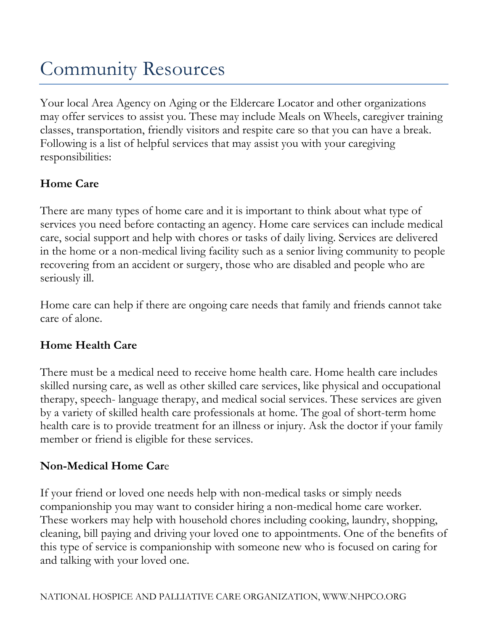# Community Resources

Your local Area Agency on Aging or the Eldercare Locator and other organizations may offer services to assist you. These may include Meals on Wheels, caregiver training classes, transportation, friendly visitors and respite care so that you can have a break. Following is a list of helpful services that may assist you with your caregiving responsibilities:

## **Home Care**

There are many types of home care and it is important to think about what type of services you need before contacting an agency. Home care services can include medical care, social support and help with chores or tasks of daily living. Services are delivered in the home or a non-medical living facility such as a senior living community to people recovering from an accident or surgery, those who are disabled and people who are seriously ill.

Home care can help if there are ongoing care needs that family and friends cannot take care of alone.

## **Home Health Care**

There must be a medical need to receive home health care. Home health care includes skilled nursing care, as well as other skilled care services, like physical and occupational therapy, speech- language therapy, and medical social services. These services are given by a variety of skilled health care professionals at home. The goal of short-term home health care is to provide treatment for an illness or injury. Ask the doctor if your family member or friend is eligible for these services.

### **Non-Medical Home Car**e

If your friend or loved one needs help with non-medical tasks or simply needs companionship you may want to consider hiring a non-medical home care worker. These workers may help with household chores including cooking, laundry, shopping, cleaning, bill paying and driving your loved one to appointments. One of the benefits of this type of service is companionship with someone new who is focused on caring for and talking with your loved one.